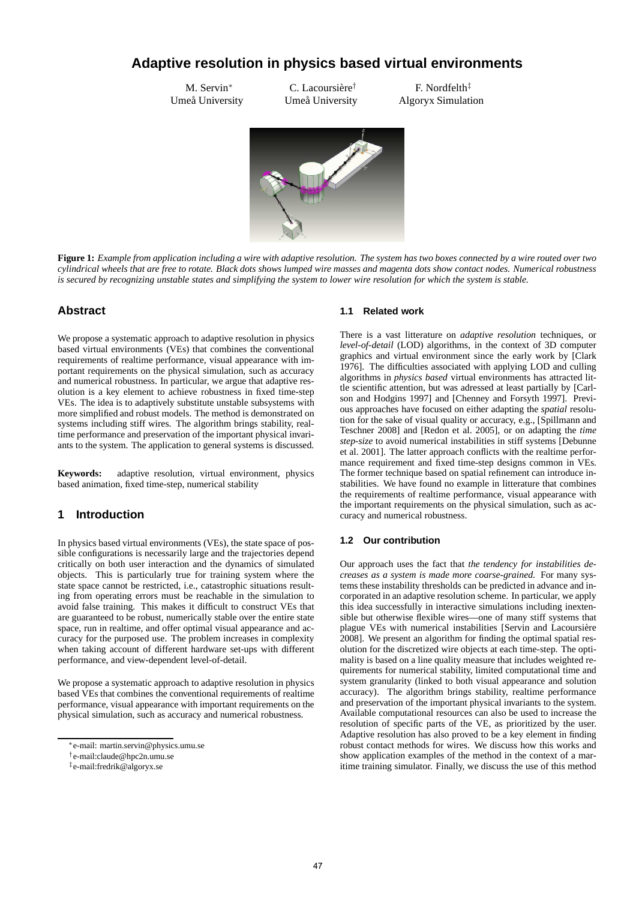# **Adaptive resolution in physics based virtual environments**

M. Servin<sup>∗</sup> Umeå University

C. Lacoursière<sup>†</sup> Umeå University

F. Nordfelth‡ Algoryx Simulation



**Figure 1:** *Example from application including a wire with adaptive resolution. The system has two boxes connected by a wire routed over two cylindrical wheels that are free to rotate. Black dots shows lumped wire masses and magenta dots show contact nodes. Numerical robustness is secured by recognizing unstable states and simplifying the system to lower wire resolution for which the system is stable.*

# **Abstract**

We propose a systematic approach to adaptive resolution in physics based virtual environments (VEs) that combines the conventional requirements of realtime performance, visual appearance with important requirements on the physical simulation, such as accuracy and numerical robustness. In particular, we argue that adaptive resolution is a key element to achieve robustness in fixed time-step VEs. The idea is to adaptively substitute unstable subsystems with more simplified and robust models. The method is demonstrated on systems including stiff wires. The algorithm brings stability, realtime performance and preservation of the important physical invariants to the system. The application to general systems is discussed.

**Keywords:** adaptive resolution, virtual environment, physics based animation, fixed time-step, numerical stability

# **1 Introduction**

In physics based virtual environments (VEs), the state space of possible configurations is necessarily large and the trajectories depend critically on both user interaction and the dynamics of simulated objects. This is particularly true for training system where the state space cannot be restricted, i.e., catastrophic situations resulting from operating errors must be reachable in the simulation to avoid false training. This makes it difficult to construct VEs that are guaranteed to be robust, numerically stable over the entire state space, run in realtime, and offer optimal visual appearance and accuracy for the purposed use. The problem increases in complexity when taking account of different hardware set-ups with different performance, and view-dependent level-of-detail.

We propose a systematic approach to adaptive resolution in physics based VEs that combines the conventional requirements of realtime performance, visual appearance with important requirements on the physical simulation, such as accuracy and numerical robustness.

### **1.1 Related work**

There is a vast litterature on *adaptive resolution* techniques, or *level-of-detail* (LOD) algorithms, in the context of 3D computer graphics and virtual environment since the early work by [Clark 1976]. The difficulties associated with applying LOD and culling algorithms in *physics based* virtual environments has attracted little scientific attention, but was adressed at least partially by [Carlson and Hodgins 1997] and [Chenney and Forsyth 1997]. Previous approaches have focused on either adapting the *spatial* resolution for the sake of visual quality or accuracy, e.g., [Spillmann and Teschner 2008] and [Redon et al. 2005], or on adapting the *time step-size* to avoid numerical instabilities in stiff systems [Debunne et al. 2001]. The latter approach conflicts with the realtime performance requirement and fixed time-step designs common in VEs. The former technique based on spatial refinement can introduce instabilities. We have found no example in litterature that combines the requirements of realtime performance, visual appearance with the important requirements on the physical simulation, such as accuracy and numerical robustness.

# **1.2 Our contribution**

Our approach uses the fact that *the tendency for instabilities decreases as a system is made more coarse-grained*. For many systems these instability thresholds can be predicted in advance and incorporated in an adaptive resolution scheme. In particular, we apply this idea successfully in interactive simulations including inextensible but otherwise flexible wires—one of many stiff systems that plague VEs with numerical instabilities [Servin and Lacoursière 2008]. We present an algorithm for finding the optimal spatial resolution for the discretized wire objects at each time-step. The optimality is based on a line quality measure that includes weighted requirements for numerical stability, limited computational time and system granularity (linked to both visual appearance and solution accuracy). The algorithm brings stability, realtime performance and preservation of the important physical invariants to the system. Available computational resources can also be used to increase the resolution of specific parts of the VE, as prioritized by the user. Adaptive resolution has also proved to be a key element in finding robust contact methods for wires. We discuss how this works and show application examples of the method in the context of a maritime training simulator. Finally, we discuss the use of this method

<sup>∗</sup> e-mail: martin.servin@physics.umu.se

<sup>†</sup> e-mail:claude@hpc2n.umu.se

<sup>‡</sup> e-mail:fredrik@algoryx.se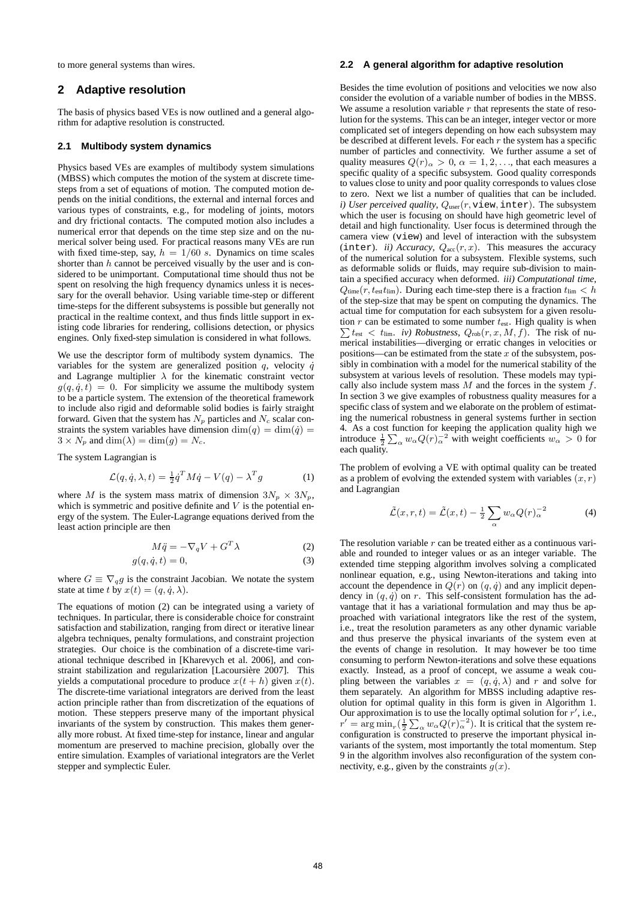to more general systems than wires.

# **2 Adaptive resolution**

The basis of physics based VEs is now outlined and a general algorithm for adaptive resolution is constructed.

#### **2.1 Multibody system dynamics**

Physics based VEs are examples of multibody system simulations (MBSS) which computes the motion of the system at discrete timesteps from a set of equations of motion. The computed motion depends on the initial conditions, the external and internal forces and various types of constraints, e.g., for modeling of joints, motors and dry frictional contacts. The computed motion also includes a numerical error that depends on the time step size and on the numerical solver being used. For practical reasons many VEs are run with fixed time-step, say,  $h = 1/60$  s. Dynamics on time scales shorter than  $h$  cannot be perceived visually by the user and is considered to be unimportant. Computational time should thus not be spent on resolving the high frequency dynamics unless it is necessary for the overall behavior. Using variable time-step or different time-steps for the different subsystems is possible but generally not practical in the realtime context, and thus finds little support in existing code libraries for rendering, collisions detection, or physics engines. Only fixed-step simulation is considered in what follows.

We use the descriptor form of multibody system dynamics. The variables for the system are generalized position  $q$ , velocity  $\dot{q}$ and Lagrange multiplier  $\lambda$  for the kinematic constraint vector  $g(q, \dot{q}, t) = 0$ . For simplicity we assume the multibody system to be a particle system. The extension of the theoretical framework to include also rigid and deformable solid bodies is fairly straight forward. Given that the system has  $N_p$  particles and  $N_c$  scalar constraints the system variables have dimension  $\dim(q) = \dim(\dot{q}) =$  $3 \times N_p$  and  $\dim(\lambda) = \dim(g) = N_c$ .

The system Lagrangian is

$$
\mathcal{L}(q, \dot{q}, \lambda, t) = \frac{1}{2} \dot{q}^T M \dot{q} - V(q) - \lambda^T g \tag{1}
$$

where M is the system mass matrix of dimension  $3N_p \times 3N_p$ , which is symmetric and positive definite and  $V$  is the potential energy of the system. The Euler-Lagrange equations derived from the least action principle are then

$$
M\ddot{q} = -\nabla_q V + G^T \lambda \tag{2}
$$

$$
g(q, \dot{q}, t) = 0,\t\t(3)
$$

where  $G \equiv \nabla_q g$  is the constraint Jacobian. We notate the system state at time t by  $x(t) = (q, \dot{q}, \lambda)$ .

The equations of motion (2) can be integrated using a variety of techniques. In particular, there is considerable choice for constraint satisfaction and stabilization, ranging from direct or iterative linear algebra techniques, penalty formulations, and constraint projection strategies. Our choice is the combination of a discrete-time variational technique described in [Kharevych et al. 2006], and constraint stabilization and regularization [Lacoursière 2007]. This yields a computational procedure to produce  $x(t + h)$  given  $x(t)$ . The discrete-time variational integrators are derived from the least action principle rather than from discretization of the equations of motion. These steppers preserve many of the important physical invariants of the system by construction. This makes them generally more robust. At fixed time-step for instance, linear and angular momentum are preserved to machine precision, globally over the entire simulation. Examples of variational integrators are the Verlet stepper and symplectic Euler.

### **2.2 A general algorithm for adaptive resolution**

Besides the time evolution of positions and velocities we now also consider the evolution of a variable number of bodies in the MBSS. We assume a resolution variable  $r$  that represents the state of resolution for the systems. This can be an integer, integer vector or more complicated set of integers depending on how each subsystem may be described at different levels. For each  $r$  the system has a specific number of particles and connectivity. We further assume a set of quality measures  $Q(r)_{\alpha} > 0$ ,  $\alpha = 1, 2, \dots$ , that each measures a specific quality of a specific subsystem. Good quality corresponds to values close to unity and poor quality corresponds to values close to zero. Next we list a number of qualities that can be included. *i)* User perceived quality,  $Q_{\text{user}}(r, \text{view}, \text{inter})$ . The subsystem which the user is focusing on should have high geometric level of detail and high functionality. User focus is determined through the camera view (view) and level of interaction with the subsystem (inter). *ii) Accuracy*,  $Q_{\text{acc}}(r, x)$ . This measures the accuracy of the numerical solution for a subsystem. Flexible systems, such as deformable solids or fluids, may require sub-division to maintain a specified accuracy when deformed. *iii) Computational time*,  $Q_{time}(r, t_{est}t_{lim})$ . During each time-step there is a fraction  $t_{lim} < h$ of the step-size that may be spent on computing the dynamics. The actual time for computation for each subsystem for a given resolution  $r$  can be estimated to some number  $t_{est}$ . High quality is when tion *r* can be estimated to some number  $t_{est}$ . High quality is when  $\sum t_{est} < t_{lim}$ . *iv) Robustness*,  $Q_{\text{rob}}(r, x, M, f)$ . The risk of numerical instabilities—diverging or erratic changes in velocities or positions—can be estimated from the state  $x$  of the subsystem, possibly in combination with a model for the numerical stability of the subsystem at various levels of resolution. These models may typically also include system mass  $M$  and the forces in the system  $f$ . In section 3 we give examples of robustness quality measures for a specific class of system and we elaborate on the problem of estimating the numerical robustness in general systems further in section 4. As a cost function for keeping the application quality high we introduce  $\frac{1}{2} \sum_{\alpha} w_{\alpha} Q(r)_{\alpha}^{-2}$  with weight coefficients  $w_{\alpha} > 0$  for each quality.

The problem of evolving a VE with optimal quality can be treated as a problem of evolving the extended system with variables  $(x, r)$ and Lagrangian

$$
\tilde{\mathcal{L}}(x,r,t) = \tilde{\mathcal{L}}(x,t) - \frac{1}{2} \sum_{\alpha} w_{\alpha} Q(r)_{\alpha}^{-2}
$$
 (4)

The resolution variable  $r$  can be treated either as a continuous variable and rounded to integer values or as an integer variable. The extended time stepping algorithm involves solving a complicated nonlinear equation, e.g., using Newton-iterations and taking into account the dependence in  $Q(r)$  on  $(q, \dot{q})$  and any implicit dependency in  $(q, \dot{q})$  on r. This self-consistent formulation has the advantage that it has a variational formulation and may thus be approached with variational integrators like the rest of the system, i.e., treat the resolution parameters as any other dynamic variable and thus preserve the physical invariants of the system even at the events of change in resolution. It may however be too time consuming to perform Newton-iterations and solve these equations exactly. Instead, as a proof of concept, we assume a weak coupling between the variables  $x = (q, \dot{q}, \lambda)$  and r and solve for them separately. An algorithm for MBSS including adaptive resolution for optimal quality in this form is given in Algorithm 1. Our approximation is to use the locally optimal solution for  $r'$ , i.e.,  $r' = \arg \min_r \left(\frac{1}{2} \sum_{\alpha} w_{\alpha} Q(r)_{\alpha}^{-2}\right)$ . It is critical that the system reconfiguration is constructed to preserve the important physical invariants of the system, most importantly the total momentum. Step 9 in the algorithm involves also reconfiguration of the system connectivity, e.g., given by the constraints  $q(x)$ .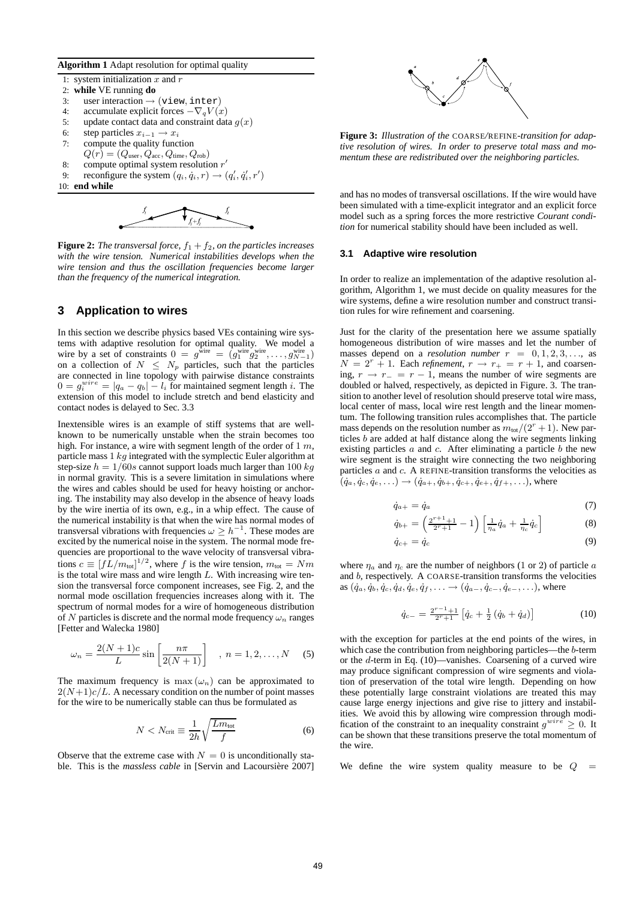#### **Algorithm 1** Adapt resolution for optimal quality

- 1: system initialization  $x$  and  $r$ 2: **while** VE running **do**
- 
- 3: user interaction  $\rightarrow$  (view, inter)<br>4: accumulate explicit forces  $-\nabla_a V(a)$
- 4: accumulate explicit forces  $-\nabla_q V(x)$ <br>5: update contact data and constraint dat 5: update contact data and constraint data  $g(x)$ <br>6: step particles  $x_{i+1} \to x_i$
- step particles  $x_{i-1} \rightarrow x_i$
- 7: compute the quality function
- $Q(r) = (Q_{\text{user}}, Q_{\text{acc}}, Q_{\text{time}}, Q_{\text{rob}})$
- 8: compute optimal system resolution  $r'$
- 9: reconfigure the system  $(q_i, \dot{q}_i, r) \rightarrow (q'_i, \dot{q}'_i, r')$
- 10: **end while**



**Figure 2:** *The transversal force,*  $f_1 + f_2$ *, on the particles increases with the wire tension. Numerical instabilities develops when the wire tension and thus the oscillation frequencies become larger than the frequency of the numerical integration.*

# **3 Application to wires**

In this section we describe physics based VEs containing wire systems with adaptive resolution for optimal quality. We model a wire by a set of constraints  $0 = g^{\text{wire}} = (g_1^{\text{wire}} g_2^{\text{wire}}, \dots, g_{N-1}^{\text{wire}})$ on a collection of  $N \leq N_p$  particles, such that the particles are connected in line topology with pairwise distance constraints  $0 = g_i^{wire} = |q_a - q_b| - l_i$  for maintained segment length i. The extension of this model to include stretch and bend elasticity and contact nodes is delayed to Sec. 3.3

Inextensible wires is an example of stiff systems that are wellknown to be numerically unstable when the strain becomes too high. For instance, a wire with segment length of the order of  $1 m$ , particle mass  $1 kq$  integrated with the symplectic Euler algorithm at step-size  $h = 1/60s$  cannot support loads much larger than 100 kg in normal gravity. This is a severe limitation in simulations where the wires and cables should be used for heavy hoisting or anchoring. The instability may also develop in the absence of heavy loads by the wire inertia of its own, e.g., in a whip effect. The cause of the numerical instability is that when the wire has normal modes of transversal vibrations with frequencies  $\omega \geq h^{-1}$ . These modes are excited by the numerical noise in the system. The normal mode frequencies are proportional to the wave velocity of transversal vibrations  $c \equiv [fL/m_{\text{tot}}]^{1/2}$ , where f is the wire tension,  $m_{\text{tot}} = Nm$ is the total wire mass and wire length  $L$ . With increasing wire tension the transversal force component increases, see Fig. 2, and the normal mode oscillation frequencies increases along with it. The spectrum of normal modes for a wire of homogeneous distribution of N particles is discrete and the normal mode frequency  $\omega_n$  ranges [Fetter and Walecka 1980]

$$
\omega_n = \frac{2(N+1)c}{L} \sin \left[ \frac{n\pi}{2(N+1)} \right] , n = 1, 2, ..., N \quad (5)
$$

The maximum frequency is max  $(\omega_n)$  can be approximated to  $2(N+1)c/L$ . A necessary condition on the number of point masses for the wire to be numerically stable can thus be formulated as

$$
N < N_{\text{crit}} \equiv \frac{1}{2h} \sqrt{\frac{L m_{\text{tot}}}{f}} \tag{6}
$$

Observe that the extreme case with  $N = 0$  is unconditionally stable. This is the *massless cable* in [Servin and Lacoursière 2007]



**Figure 3:** *Illustration of the* COARSE*/*REFINE*-transition for adaptive resolution of wires. In order to preserve total mass and momentum these are redistributed over the neighboring particles.*

and has no modes of transversal oscillations. If the wire would have been simulated with a time-explicit integrator and an explicit force model such as a spring forces the more restrictive *Courant condition* for numerical stability should have been included as well.

#### **3.1 Adaptive wire resolution**

In order to realize an implementation of the adaptive resolution algorithm, Algorithm 1, we must decide on quality measures for the wire systems, define a wire resolution number and construct transition rules for wire refinement and coarsening.

Just for the clarity of the presentation here we assume spatially homogeneous distribution of wire masses and let the number of masses depend on a *resolution number*  $r = 0, 1, 2, 3, \ldots$ , as  $N = 2<sup>r</sup> + 1$ . Each *refinement*,  $r \rightarrow r_{+} = r + 1$ , and coarsening,  $r \rightarrow r_{-} = r - 1$ , means the number of wire segments are doubled or halved, respectively, as depicted in Figure. 3. The transition to another level of resolution should preserve total wire mass, local center of mass, local wire rest length and the linear momentum. The following transition rules accomplishes that. The particle mass depends on the resolution number as  $m_{tot}/(2^r + 1)$ . New particles b are added at half distance along the wire segments linking existing particles  $a$  and  $c$ . After eliminating a particle  $b$  the new wire segment is the straight wire connecting the two neighboring particles a and c. A REFINE-transition transforms the velocities as  $(q_a, \dot{q}_c, \dot{q}_e, \ldots) \rightarrow (\dot{q}_{a+}, \dot{q}_{b+}, \dot{q}_{c+}, \dot{q}_{e+}, \dot{q}_{f+}, \ldots)$ , where

$$
\dot{q}_{a+} = \dot{q}_a \tag{7}
$$

$$
\dot{q}_{b+} = \left(\frac{2^{r+1}+1}{2^r+1} - 1\right) \left[\frac{1}{\eta_a}\dot{q}_a + \frac{1}{\eta_c}\dot{q}_c\right]
$$
 (8)

$$
\dot{q}_{c+} = \dot{q}_c \tag{9}
$$

where  $\eta_a$  and  $\eta_c$  are the number of neighbors (1 or 2) of particle a and b, respectively. A COARSE-transition transforms the velocities as  $(\dot{q}_a, \dot{q}_b, \dot{q}_c, \dot{q}_d, \dot{q}_e, \dot{q}_f, \ldots \rightarrow (\dot{q}_{a-}, \dot{q}_{c-}, \dot{q}_{e-}, \ldots)$ , where

$$
\dot{q}_{c-} = \frac{2^{r-1}+1}{2^r+1} \left[ \dot{q}_c + \frac{1}{2} \left( \dot{q}_b + \dot{q}_d \right) \right] \tag{10}
$$

with the exception for particles at the end points of the wires, in which case the contribution from neighboring particles—the b-term or the d-term in Eq. (10)—vanishes. Coarsening of a curved wire may produce significant compression of wire segments and violation of preservation of the total wire length. Depending on how these potentially large constraint violations are treated this may cause large energy injections and give rise to jittery and instabilities. We avoid this by allowing wire compression through modification of the constraint to an inequality constraint  $g^{wire} \geq 0$ . It can be shown that these transitions preserve the total momentum of the wire.

We define the wire system quality measure to be  $Q =$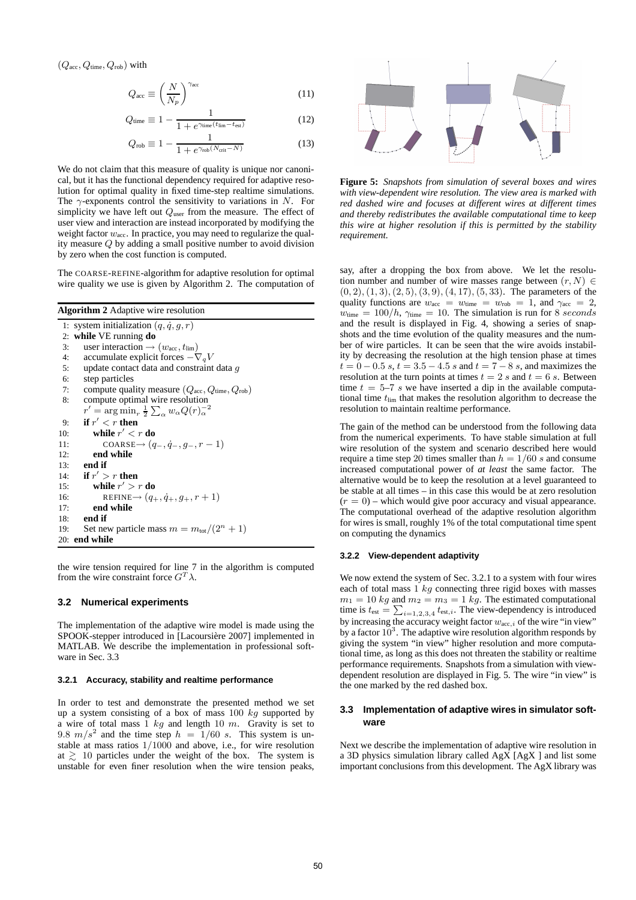$(Q_{\text{acc}}, Q_{\text{time}}, Q_{\text{rob}})$  with

$$
Q_{\rm acc} \equiv \left(\frac{N}{N_p}\right)^{\gamma_{\rm acc}} \tag{11}
$$

$$
Q_{\text{time}} \equiv 1 - \frac{1}{1 + e^{\gamma_{\text{time}}(t_{\text{lim}} - t_{\text{est}})}}
$$
(12)

$$
Q_{\rm rob} \equiv 1 - \frac{1}{1 + e^{\gamma_{\rm rob}(N_{\rm crit} - N)}}\tag{13}
$$

We do not claim that this measure of quality is unique nor canonical, but it has the functional dependency required for adaptive resolution for optimal quality in fixed time-step realtime simulations. The  $\gamma$ -exponents control the sensitivity to variations in N. For simplicity we have left out  $Q_{user}$  from the measure. The effect of user view and interaction are instead incorporated by modifying the weight factor  $w_{\text{acc}}$ . In practice, you may need to regularize the quality measure Q by adding a small positive number to avoid division by zero when the cost function is computed.

The COARSE-REFINE-algorithm for adaptive resolution for optimal wire quality we use is given by Algorithm 2. The computation of

**Algorithm 2** Adaptive wire resolution

1: system initialization  $(q, \dot{q}, g, r)$ 2: **while** VE running **do** 3: user interaction  $\rightarrow (w_{\text{acc}}, t_{\text{lim}})$ 4: accumulate explicit forces  $-\nabla_q V$ <br>5: update contact data and constraint 5: update contact data and constraint data  $g$ <br>6: step particles step particles 7: compute quality measure  $(Q_{\text{acc}}, Q_{\text{time}}, Q_{\text{rob}})$ 8: compute optimal wire resolution  $r' = \arg\min_r \frac{1}{2} \sum_\alpha w_\alpha Q(r)_\alpha^{-2}$ 9: **if**  $r' < r$  **then** 10: **while**  $r' < r$  **do** 11: COARSE→  $(q_-, \dot{q}_-, g_-, r-1)$ 12: **end while** 13: **end if** 14: **if**  $r' > r$  **then** 15: **while**  $r' > r$  **do** 16: REFINE  $\rightarrow$   $(q_+, \dot{q}_+, g_+, r+1)$ <br>17: **end while** end while 18: **end if** 19: Set new particle mass  $m = m_{\text{tot}}/(2^n + 1)$ 20: **end while**

the wire tension required for line 7 in the algorithm is computed from the wire constraint force  $G^T \lambda$ .

# **3.2 Numerical experiments**

The implementation of the adaptive wire model is made using the SPOOK-stepper introduced in [Lacoursière 2007] implemented in MATLAB. We describe the implementation in professional software in Sec. 3.3

#### **3.2.1 Accuracy, stability and realtime performance**

In order to test and demonstrate the presented method we set up a system consisting of a box of mass  $100\ kg$  supported by a wire of total mass  $1$  kg and length 10 m. Gravity is set to 9.8  $m/s^2$  and the time step  $h = 1/60$  s. This system is unstable at mass ratios 1/1000 and above, i.e., for wire resolution at  $\geq$  10 particles under the weight of the box. The system is unstable for even finer resolution when the wire tension peaks,



**Figure 5:** *Snapshots from simulation of several boxes and wires with view-dependent wire resolution. The view area is marked with red dashed wire and focuses at different wires at different times and thereby redistributes the available computational time to keep this wire at higher resolution if this is permitted by the stability requirement.*

say, after a dropping the box from above. We let the resolution number and number of wire masses range between  $(r, N) \in$  $(0, 2), (1, 3), (2, 5), (3, 9), (4, 17), (5, 33)$ . The parameters of the quality functions are  $w_{\text{acc}} = w_{\text{time}} = w_{\text{rob}} = 1$ , and  $\gamma_{\text{acc}} = 2$ ,  $w_{time} = 100/h$ ,  $\gamma_{time} = 10$ . The simulation is run for 8 seconds and the result is displayed in Fig. 4, showing a series of snapshots and the time evolution of the quality measures and the number of wire particles. It can be seen that the wire avoids instability by decreasing the resolution at the high tension phase at times  $t = 0 - 0.5 s, t = 3.5 - 4.5 s$  and  $t = 7 - 8 s$ , and maximizes the resolution at the turn points at times  $t = 2 s$  and  $t = 6 s$ . Between time  $t = 5-7$  s we have inserted a dip in the available computational time  $t_{\text{lim}}$  that makes the resolution algorithm to decrease the resolution to maintain realtime performance.

The gain of the method can be understood from the following data from the numerical experiments. To have stable simulation at full wire resolution of the system and scenario described here would require a time step 20 times smaller than  $h = 1/60 s$  and consume increased computational power of *at least* the same factor. The alternative would be to keep the resolution at a level guaranteed to be stable at all times – in this case this would be at zero resolution  $(r = 0)$  – which would give poor accuracy and visual appearance. The computational overhead of the adaptive resolution algorithm for wires is small, roughly 1% of the total computational time spent on computing the dynamics

# **3.2.2 View-dependent adaptivity**

We now extend the system of Sec. 3.2.1 to a system with four wires each of total mass  $1 \, kg$  connecting three rigid boxes with masses  $m_1 = 10$  kg and  $m_2 = m_3 = 1$  kg. The estimated computational time is  $t_{est} = \sum_{i=1,2,3,4} t_{est,i}$ . The view-dependency is introduced by increasing the accuracy weight factor  $w_{\text{acc},i}$  of the wire "in view" by a factor  $10^3$ . The adaptive wire resolution algorithm responds by giving the system "in view" higher resolution and more computational time, as long as this does not threaten the stability or realtime performance requirements. Snapshots from a simulation with viewdependent resolution are displayed in Fig. 5. The wire "in view" is the one marked by the red dashed box.

### **3.3 Implementation of adaptive wires in simulator software**

Next we describe the implementation of adaptive wire resolution in a 3D physics simulation library called AgX [AgX ] and list some important conclusions from this development. The AgX library was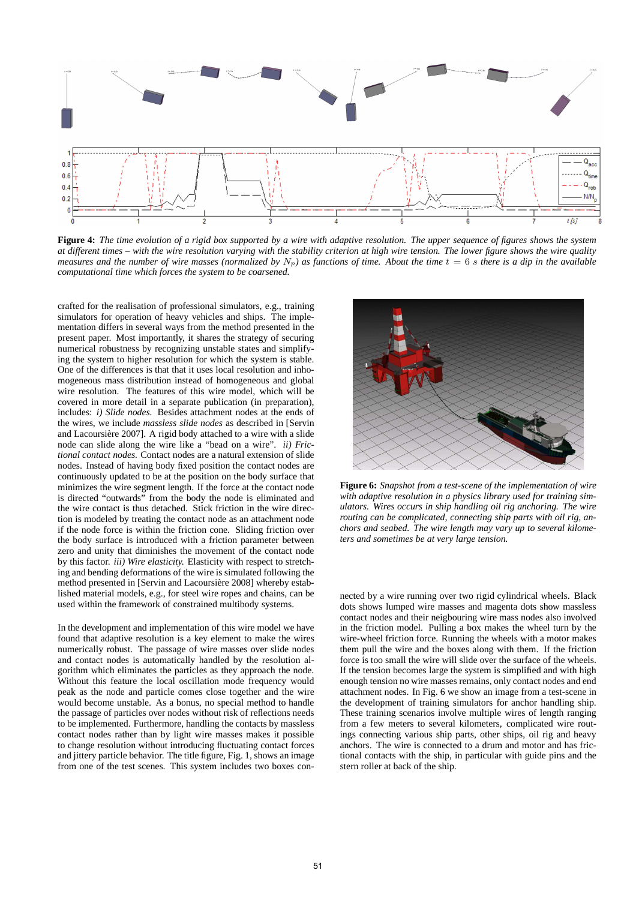

**Figure 4:** *The time evolution of a rigid box supported by a wire with adaptive resolution. The upper sequence of figures shows the system at different times – with the wire resolution varying with the stability criterion at high wire tension. The lower figure shows the wire quality measures and the number of wire masses (normalized by*  $N_p$ ) as functions of time. About the time  $t = 6$  s there is a dip in the available *computational time which forces the system to be coarsened.*

crafted for the realisation of professional simulators, e.g., training simulators for operation of heavy vehicles and ships. The implementation differs in several ways from the method presented in the present paper. Most importantly, it shares the strategy of securing numerical robustness by recognizing unstable states and simplifying the system to higher resolution for which the system is stable. One of the differences is that that it uses local resolution and inhomogeneous mass distribution instead of homogeneous and global wire resolution. The features of this wire model, which will be covered in more detail in a separate publication (in preparation), includes: *i) Slide nodes.* Besides attachment nodes at the ends of the wires, we include *massless slide nodes* as described in [Servin and Lacoursière 2007]. A rigid body attached to a wire with a slide node can slide along the wire like a "bead on a wire". *ii) Frictional contact nodes.* Contact nodes are a natural extension of slide nodes. Instead of having body fixed position the contact nodes are continuously updated to be at the position on the body surface that minimizes the wire segment length. If the force at the contact node is directed "outwards" from the body the node is eliminated and the wire contact is thus detached. Stick friction in the wire direction is modeled by treating the contact node as an attachment node if the node force is within the friction cone. Sliding friction over the body surface is introduced with a friction parameter between zero and unity that diminishes the movement of the contact node by this factor. *iii) Wire elasticity.* Elasticity with respect to stretching and bending deformations of the wire is simulated following the method presented in [Servin and Lacoursière 2008] whereby established material models, e.g., for steel wire ropes and chains, can be used within the framework of constrained multibody systems.

In the development and implementation of this wire model we have found that adaptive resolution is a key element to make the wires numerically robust. The passage of wire masses over slide nodes and contact nodes is automatically handled by the resolution algorithm which eliminates the particles as they approach the node. Without this feature the local oscillation mode frequency would peak as the node and particle comes close together and the wire would become unstable. As a bonus, no special method to handle the passage of particles over nodes without risk of reflections needs to be implemented. Furthermore, handling the contacts by massless contact nodes rather than by light wire masses makes it possible to change resolution without introducing fluctuating contact forces and jittery particle behavior. The title figure, Fig. 1, shows an image from one of the test scenes. This system includes two boxes con-



**Figure 6:** *Snapshot from a test-scene of the implementation of wire with adaptive resolution in a physics library used for training simulators. Wires occurs in ship handling oil rig anchoring. The wire routing can be complicated, connecting ship parts with oil rig, anchors and seabed. The wire length may vary up to several kilometers and sometimes be at very large tension.*

nected by a wire running over two rigid cylindrical wheels. Black dots shows lumped wire masses and magenta dots show massless contact nodes and their neigbouring wire mass nodes also involved in the friction model. Pulling a box makes the wheel turn by the wire-wheel friction force. Running the wheels with a motor makes them pull the wire and the boxes along with them. If the friction force is too small the wire will slide over the surface of the wheels. If the tension becomes large the system is simplified and with high enough tension no wire masses remains, only contact nodes and end attachment nodes. In Fig. 6 we show an image from a test-scene in the development of training simulators for anchor handling ship. These training scenarios involve multiple wires of length ranging from a few meters to several kilometers, complicated wire routings connecting various ship parts, other ships, oil rig and heavy anchors. The wire is connected to a drum and motor and has frictional contacts with the ship, in particular with guide pins and the stern roller at back of the ship.